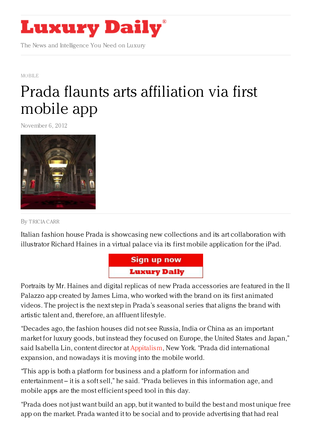

The News and Intelligence You Need on Luxury

[MOBILE](https://www.luxurydaily.com/category/news/mobile-news/)

## Prada flaunts arts [affiliation](https://www.luxurydaily.com/prada-flaunts-arts-affiliation-via-first-mobile-app/) via first mobile app

November 6, 2012



By [TRICIA](/author/tricia-carr) CARR

Italian fashion house Prada is showcasing new collections and its art collaboration with illustrator Richard Haines in a virtual palace via its first mobile application for the iPad.



Portraits by Mr. Haines and digital replicas of new Prada accessories are featured in the Il Palazzo app created by James Lima, who worked with the brand on its first animated videos. The project is the next step in Prada's seasonal series that aligns the brand with artistic talent and, therefore, an affluent lifestyle.

"Decades ago, the fashion houses did not see Russia, India or China as an important market for luxury goods, but instead they focused on Europe, the United States and Japan," said Isabella Lin, content director at [Appitalism](http://www.appitalism.com/), New York. "Prada did international expansion, and nowadays it is moving into the mobile world.

"This app is both a platform for business and a platform for information and entertainment – it is a soft sell," he said. "Prada believes in this information age, and mobile apps are the most efficient speed tool in this day.

"Prada does not just want build an app, but it wanted to build the best and most unique free app on the market. Prada wanted it to be social and to provide advertising that had real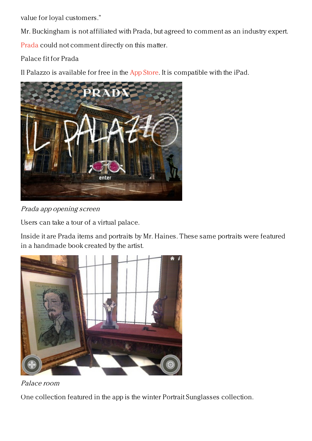value for loyal customers."

Mr. Buckingham is not affiliated with Prada, but agreed to comment as an industry expert. [Prada](http://prada.com/) could not comment directly on this matter.

Palace fit for Prada

Il Palazzo is available for free in the App [Store](https://itunes.apple.com/it/app/il-palazzo/id573152999?mt=8https://itunes.apple.com/it/app/il-palazzo/id573152999?mt=8). It is compatible with the iPad.





Users can take a tour of a virtual palace.

Inside it are Prada items and portraits by Mr. Haines. These same portraits were featured in a handmade book created by the artist.





One collection featured in the app is the winter Portrait Sunglasses collection.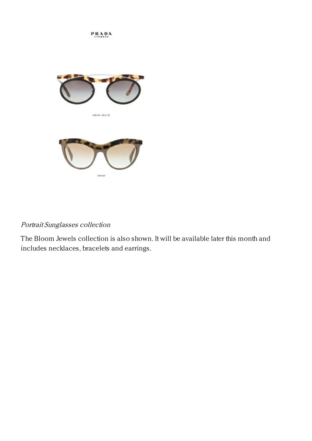**PRADA** 



SPROSP-DELL'ME



## Portrait Sunglasses collection

The Bloom Jewels collection is also shown. It will be available later this month and includes necklaces, bracelets and earrings.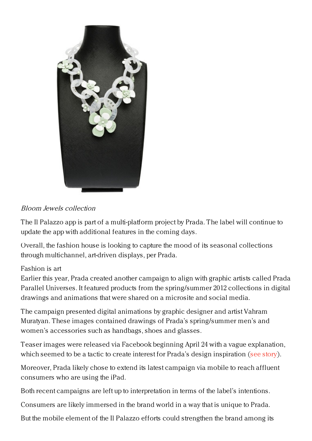

## Bloom Jewels collection

The Il Palazzo app is part of a multi-platform project by Prada. The label will continue to update the app with additional features in the coming days.

Overall, the fashion house is looking to capture the mood of its seasonal collections through multichannel, art-driven displays, per Prada.

## Fashion is art

Earlier this year, Prada created another campaign to align with graphic artists called Prada Parallel Universes. It featured products from the spring/summer 2012 collections in digital drawings and animations that were shared on a microsite and social media.

The campaign presented digital animations by graphic designer and artist Vahram Muratyan. These images contained drawings of Prada's spring/summer men's and women's accessories such as handbags, shoes and glasses.

Teaser images were released via Facebook beginning April 24 with a vague explanation, which seemed to be a tactic to create interest for Prada's design inspiration (see [story](https://www.luxurydaily.com/prada-shares-digital-art-to-draw-eyes-to-collection/)).

Moreover, Prada likely chose to extend its latest campaign via mobile to reach affluent consumers who are using the iPad.

Both recent campaigns are left up to interpretation in terms of the label's intentions.

Consumers are likely immersed in the brand world in a way that is unique to Prada.

But the mobile element of the Il Palazzo efforts could strengthen the brand among its